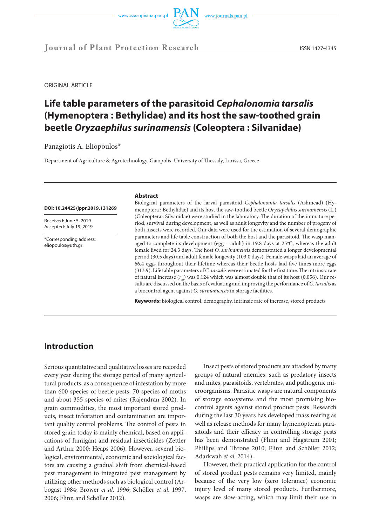



**Journal of Plant Protection Research** ISSN 1427-4345

ORIGINAL ARTICLE

# **Life table parameters of the parasitoid** *Cephalonomia tarsalis* **(Hymenoptera : Bethylidae) and its host the saw-toothed grain beetle** *Oryzaephilus surinamensis* **(Coleoptera : Silvanidae)**

Panagiotis A. Eliopoulos\*

Department of Agriculture & Agrotechnology, Gaiopolis, University of Thessaly, Larissa, Greece

### **DOI: 10.24425/jppr.2019.131269**

Received: June 5, 2019 Accepted: July 19, 2019

\*Corresponding address: eliopoulos@uth.gr

#### **Abstract**

Biological parameters of the larval parasitoid *Cephalonomia tarsalis* (Ashmead) (Hymenoptera : Bethylidae) and its host the saw-toothed beetle *Oryzapehilus surinamensis* (L.) (Coleoptera : Silvanidae) were studied in the laboratory. The duration of the immature period, survival during development, as well as adult longevity and the number of progeny of both insects were recorded. Our data were used for the estimation of several demographic parameters and life table construction of both the host and the parasitoid. The wasp managed to complete its development (egg  $-$  adult) in 19.8 days at 25°C, whereas the adult female lived for 24.3 days. The host *O. surinamensis* demonstrated a longer developmental period (30.5 days) and adult female longevity (103.0 days). Female wasps laid an average of 66.4 eggs throughout their lifetime whereas their beetle hosts laid five times more eggs (313.9). Life table parameters of *C. tarsalis* were estimated for the first time. The intrinsic rate of natural increase  $(r_m)$  was 0.124 which was almost double that of its host (0.056). Our results are discussed on the basis of evaluating and improving the performance of *C. tarsalis* as a biocontrol agent against *O. surinamensis* in storage facilities.

**Keywords:** biological control, demography, intrinsic rate of increase, stored products

## **Introduction**

Serious quantitative and qualitative losses are recorded every year during the storage period of many agricultural products, as a consequence of infestation by more than 600 species of beetle pests, 70 species of moths and about 355 species of mites (Rajendran 2002). In grain commodities, the most important stored products, insect infestation and contamination are important quality control problems. The control of pests in stored grain today is mainly chemical, based on applications of fumigant and residual insecticides (Zettler and Arthur 2000; Heaps 2006). However, several biological, environmental, economic and sociological factors are causing a gradual shift from chemical-based pest management to integrated pest management by utilizing other methods such as biological control (Arbogast 1984; Brower *et al*. 1996; Schöller *et al*. 1997, 2006; Flinn and Schöller 2012).

Insect pests of stored products are attacked by many groups of natural enemies, such as predatory insects and mites, parasitoids, vertebrates, and pathogenic microorganisms. Parasitic wasps are natural components of storage ecosystems and the most promising biocontrol agents against stored product pests. Research during the last 30 years has developed mass rearing as well as release methods for many hymenopteran parasitoids and their efficacy in controlling storage pests has been demonstrated (Flinn and Hagstrum 2001; Phillips and Throne 2010; Flinn and Schöller 2012; Adarkwah *et al*. 2014).

However, their practical application for the control of stored product pests remains very limited, mainly because of the very low (zero tolerance) economic injury level of many stored products. Furthermore, wasps are slow-acting, which may limit their use in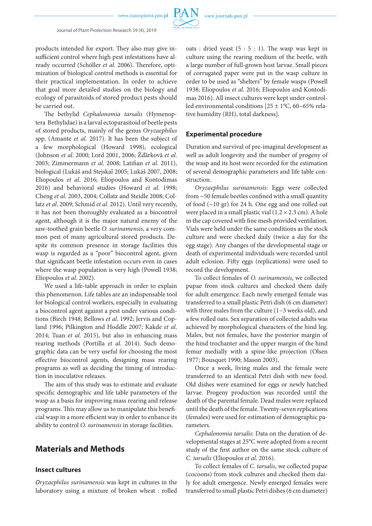

#### 2 Journal of Plant Protection Research 59 (4), 2019

products intended for export. They also may give insufficient control where high pest infestations have already occurred (Schöller *et al*. 2006). Therefore, optimization of biological control methods is essential for their practical implementation. In order to achieve that goal more detailed studies on the biology and ecology of parasitoids of stored product pests should be carried out.

The bethylid *Cephalonomia tarsalis* (Hymenoptera Bethylidae) is a larval ectoparasitoid of beetle pests of stored products, mainly of the genus *Oryzaephilus* spp. (Amante *et al.* 2017). It has been the subject of a few morphological (Howard 1998), ecological (Johnson *et al*. 2000; Lord 2001, 2006; Žďărkovă *et al*. 2003; Zimmermann *et al*. 2008; Latifian *et al*. 2011), biological (Lukáš and Stejskal 2005; Lukáš 2007, 2008; Eliopoulos *et al*. 2016; Eliopoulos and Kontodimas 2016) and behavioral studies (Howard *et al*. 1998; Cheng *et al*. 2003, 2004; Collatz and Steidle 2008; Collatz *et al*. 2009; Schmid *et al*. 2012). Until very recently, it has not been thoroughly evaluated as a biocontrol agent, although it is the major natural enemy of the saw-toothed grain beetle *O. surinamensis*, a very common pest of many agricultural stored products. Despite its common presence in storage facilities this wasp is regarded as a "poor" biocontrol agent, given that significant beetle infestation occurs even in cases where the wasp population is very high (Powell 1938; Eliopoulos *et al*. 2002).

We used a life-table approach in order to explain this phenomenon. Life tables are an indispensable tool for biological control workers, especially in evaluating a biocontrol agent against a pest under various conditions (Βirch 1948; Bellows *et al*. 1992; Jervis and Copland 1996; Pilkington and Hoddle 2007; Kakde *et al*. 2014; Tuan *et al.* 2015), but also in enhancing mass rearing methods (Portilla *et al.* 2014). Such demographic data can be very useful for choosing the most effective biocontrol agents, designing mass rearing programs as well as deciding the timing of introduction in inoculative releases.

The aim of this study was to estimate and evaluate specific demographic and life table parameters of the wasp as a basis for improving mass rearing and release programs. This may allow us to manipulate this beneficial wasp in a more efficient way in order to enhance its ability to control *O. surinamensis* in storage facilities.

# **Materials and Methods**

### **Insect cultures**

*Oryzaephilus surinamensis* was kept in cultures in the laboratory using a mixture of broken wheat : rolled oats : dried yeast  $(5:5:1)$ . The wasp was kept in culture using the rearing medium of the beetle, with a large number of full-grown host larvae. Small pieces of corrugated paper were put in the wasp culture in order to be used as "shelters" by female wasps (Powell 1938; Eliopoulos *et al*. 2016; Eliopoulos and Kontodimas 2016). All insect cultures were kept under controlled environmental conditions [25 ± 1°C, 60−65% relative humidity (RH), total darkness].

### **Experimental procedure**

Duration and survival of pre-imaginal development as well as adult longevity and the number of progeny of the wasp and its host were recorded for the estimation of several demographic parameters and life table construction.

*Oryzaephilus surinamensis*: Eggs were collected from ~50 female beetles confined with a small quantity of food (~10 gr) for 24 h. One egg and one rolled oat were placed in a small plastic vial  $(1.2 \times 2.3 \text{ cm})$ . A hole in the cap covered with fine mesh provided ventilation. Vials were held under the same conditions as the stock culture and were checked daily (twice a day for the egg stage). Any changes of the developmental stage or death of experimental individuals were recorded until adult eclosion. Fifty eggs (replications) were used to record the development.

To collect females of *O. surinamensis*, we collected pupae from stock cultures and checked them daily for adult emergence. Each newly emerged female was transferred to a small plastic Petri dish (6 cm diameter) with three males from the culture (1−3 weeks old), and a few rolled oats. Sex separation of collected adults was achieved by morphological characters of the hind leg. Males, but not females, have the posterior margin of the hind trochanter and the upper margin of the hind femur medially with a spine-like projection (Olsen 1977; Bousquet 1990; Mason 2003).

Once a week, living males and the female were transferred to an identical Petri dish with new food. Old dishes were examined for eggs or newly hatched larvae. Progeny production was recorded until the death of the parental female. Dead males were replaced until the death of the female. Twenty-seven replications (females) were used for estimation of demographic parameters.

*Cephalonomia tarsalis*: Data on the duration of developmental stages at 25°C were adopted from a recent study of the first author on the same stock culture of *C. tarsalis* (Eliopoulos *et al*. 2016).

To collect females of *C. tarsalis*, we collected pupae (cocoons) from stock cultures and checked them daily for adult emergence. Newly emerged females were transferred to small plastic Petri dishes (6 cm diameter)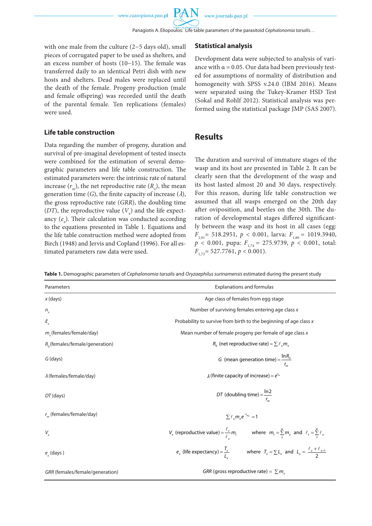Panagiotis A. Eliopoulos: Life table parameters of the parasitoid *Cephalonomia tarsalis*… 3

with one male from the culture (2−5 days old), small pieces of corrugated paper to be used as shelters, and an excess number of hosts (10−15). The female was transferred daily to an identical Petri dish with new hosts and shelters. Dead males were replaced until the death of the female. Progeny production (male and female offspring) was recorded until the death of the parental female. Ten replications (females) were used.

#### **Life table construction**

Data regarding the number of progeny, duration and survival of pre-imaginal development of tested insects were combined for the estimation of several demographic parameters and life table construction. The estimated parameters were: the intrinsic rate of natural increase  $(r_m)$ , the net reproductive rate  $(R_o)$ , the mean generation time (*G*), the finite capacity of increase  $(\lambda)$ , the gross reproductive rate (*GRR*), the doubling time (*DT*), the reproductive value ( $V_x$ ) and the life expectancy (e<sub>x</sub>). Their calculation was conducted according to the equations presented in Table 1. Equations and the life table construction method were adopted from Birch (1948) and Jervis and Copland (1996). For all estimated parameters raw data were used.

#### **Statistical analysis**

Development data were subjected to analysis of variance with  $\alpha$  = 0.05. Our data had been previously tested for assumptions of normality of distribution and homogeneity with SPSS v.24.0 (IBM 2016). Means were separated using the Tukey-Kramer HSD Test (Sokal and Rohlf 2012). Statistical analysis was performed using the statistical package JMP (SAS 2007).

### **Results**

The duration and survival of immature stages of the wasp and its host are presented in Table 2. It can be clearly seen that the development of the wasp and its host lasted almost 20 and 30 days, respectively. For this reason, during life table construction we assumed that all wasps emerged on the 20th day after oviposition, and beetles on the 30th. The duration of developmental stages differed significantly between the wasp and its host in all cases (egg:  $F_{1,91}$  = 518.2951,  $p < 0.001$ , larva:  $F_{1,80}$  = 1019.3940, *p* < 0.001, pupa: *F*1,74 = 275.9739, *p* < 0.001, total: *F*<sub>1,73</sub> = 527.7761, *p* < 0.001).

**Table 1.** Demographic parameters of *Cephalonomia tarsalis* and *Oryzaephilus surinamensis* estimated during the present study

| Parameters                        | <b>Explanations and formulas</b>                                                                                           |  |  |  |  |
|-----------------------------------|----------------------------------------------------------------------------------------------------------------------------|--|--|--|--|
| $x$ (days)                        | Age class of females from egg stage                                                                                        |  |  |  |  |
| $n_{x}$                           | Number of surviving females entering age class x                                                                           |  |  |  |  |
| $\ell_{\sf x}$                    | Probability to survive from birth to the beginning of age class x                                                          |  |  |  |  |
| $m_{y}$ (females/female/day)      | Mean number of female progeny per female of age class x                                                                    |  |  |  |  |
| $R_0$ (females/female/generation) | $R_0$ (net reproductive rate) = $\sum \ell_{\gamma} m_{\gamma}$                                                            |  |  |  |  |
| G (days)                          | G (mean generation time) = $\frac{\ln R_0}{\ln R_0}$                                                                       |  |  |  |  |
| $\lambda$ (females/female/day)    | $\lambda$ (finite capacity of increase) = $e^{r_m}$                                                                        |  |  |  |  |
| $DT$ (days)                       | DT (doubling time) = $\frac{\ln 2}{\ln 2}$                                                                                 |  |  |  |  |
| $r_m$ (females/female/day)        | $\sum \ell_{x} m_{x} e^{-r_{m_{x}}} = 1$                                                                                   |  |  |  |  |
| $V_{x}$                           | $V_x$ (reproductive value) = $\frac{\ell_t}{\ell_m} m_t$ where $m_t = \sum_{x}^{w} m_x$ and $\ell_t = \sum_{x}^{w} \ell_x$ |  |  |  |  |
| $e_{x}$ (days)                    | $e_x$ (life expectancy) = $\frac{T_x}{I}$ where $T_x = \sum L_x$ and $L_x = \frac{\ell_x + \ell_{x+1}}{2}$                 |  |  |  |  |
| GRR (females/female/generation)   | GRR (gross reproductive rate) = $\sum m_x$                                                                                 |  |  |  |  |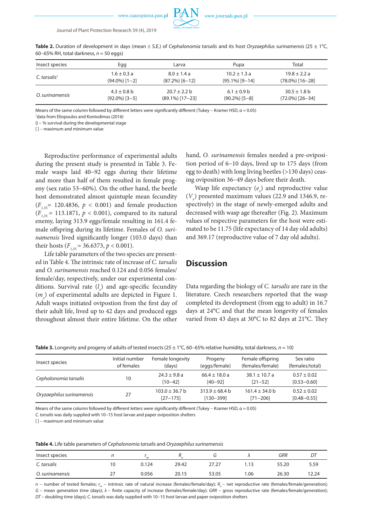

4 Journal of Plant Protection Research 59 (4), 2019

**Table 2.** Duration of development in days (mean ± S.E.) of *Cephalonomia tarsalis* and its host *Oryzaephilus surinamensis* (25 ± 1°C, 60−65% RH, total darkness, *n* = 50 eggs)

| Insect species           | Egg              | Larva              | Pupa              | Total              |
|--------------------------|------------------|--------------------|-------------------|--------------------|
| C. tarsalis <sup>1</sup> | $1.6 \pm 0.3 a$  | $8.0 \pm 1.4 a$    | $10.2 \pm 1.3$ a  | $19.8 \pm 2.2 a$   |
|                          | $(94.0\%)$ [1-2] | $(87.2\%)$ [6-12]  | $(95.1\%)$ [9-14] | $(78.0\%)$ [16-28] |
| O. surinamensis          | $4.3 \pm 0.8$ b  | $20.7 \pm 2.2$ b   | $6.1 \pm 0.9$ b   | $30.5 \pm 1.8$ b   |
|                          | $(92.0\%)$ [3-5] | $(89.1\%)$ [17-23] | $(90.2\%)$ [5-8]  | $(72.0\%)$ [26-34] |

Means of the same column followed by different letters were significantly different (Tukey – Kramer HSD,  $\alpha$  = 0.05)

1 data from Eliopoulos and Kontodimas (2016)

() − % survival during the developmental stage

[ ] – maximum and minimum value

Reproductive performance of experimental adults during the present study is presented in Table 3. Female wasps laid 40−92 eggs during their lifetime and more than half of them resulted in female progeny (sex ratio 53−60%). On the other hand, the beetle host demonstrated almost quintuple mean fecundity  $(F_{135} = 120.4836, p < 0.001)$  and female production  $(F_{135} = 113.1871, p < 0.001)$ , compared to its natural enemy, laying 313.9 eggs/female resulting in 161.4 female offspring during its lifetime. Females of *O. surinamensis* lived significantly longer (103.0 days) than their hosts  $(F_{135} = 36.6373, p < 0.001)$ .

Life table parameters of the two species are presented in Table 4. The intrinsic rate of increase of *C. tarsalis*  and *O. surinamensis* reached 0.124 and 0.056 females/ female/day, respectively, under our experimental conditions. Survival rate (*l x* ) and age-specific fecundity (*mx* ) of experimental adults are depicted in Figure 1. Adult wasps initiated ovipostion from the first day of their adult life, lived up to 42 days and produced eggs throughout almost their entire lifetime. On the other

hand, *O. surinamensis* females needed a pre-oviposition period of 6−10 days, lived up to 175 days (from egg to death) with long living beetles (>130 days) ceasing oviposition 36−49 days before their death.

Wasp life expectancy  $(e_x)$  and reproductive value  $(V_x)$  presented maximum values (22.9 and 1346.9, respectively) in the stage of newly-emerged adults and decreased with wasp age thereafter (Fig. 2). Maximum values of respective parameters for the host were estimated to be 11.75 (life expectancy of 14 day old adults) and 369.17 (reproductive value of 7 day old adults).

### **Discussion**

Data regarding the biology of *C. tarsalis* are rare in the literature. Czech researchers reported that the wasp completed its development (from egg to adult) in 16.7 days at 24°C and that the mean longevity of females varied from 43 days at 30°C to 82 days at 21°C. They

**Table 3.** Longevity and progeny of adults of tested insects(25 ± 1°C, 60−65% relative humidity, total darkness, *n* = 10)

| Insect species            | Initial number<br>of females | Female longevity<br>(days)         | Progeny<br>(eggs/female)            | Female offspring<br>(females/female) | Sex ratio<br>(females/total)       |
|---------------------------|------------------------------|------------------------------------|-------------------------------------|--------------------------------------|------------------------------------|
| Cephalonomia tarsalis     | 10                           | $24.3 \pm 9.8$ a<br>$[10 - 42]$    | $66.4 \pm 18.0 a$<br>$[40 - 92]$    | $38.1 + 10.7$ a<br>$[21 - 52]$       | $0.57 \pm 0.02$<br>$[0.53 - 0.60]$ |
| Oryzaephilus surinamensis | 27                           | $103.0 \pm 36.7$ b<br>$[27 - 175]$ | $313.9 \pm 68.4$ b<br>$[130 - 399]$ | $161.4 \pm 34.0$ b<br>$[71 - 206]$   | $0.52 \pm 0.02$<br>$[0.48 - 0.55]$ |

Means of the same column followed by different letters were significantly different (Tukey − Kramer HSD, α = 0.05)

*C. tarsalis* was daily supplied with 10−15 host larvae and paper oviposition shelters

[ ] – maximum and minimum value

**Table 4.** Life table parameters of *Cephalonomia tarsalis* and *Oryzaephilus surinamensis*

| Insect species  |          | m     |       |       |      | GRR   | DT    |
|-----------------|----------|-------|-------|-------|------|-------|-------|
| C. tarsalis     | 0        | 0.124 | 29.42 | 27.27 | 1.13 | 55.20 | 5.59  |
| O. surinamensis | <u>.</u> | 0.056 | 20.15 | 53.05 | 1.06 | 26.30 | 12.24 |

*n* − number of tested females; *r<sub>m</sub>* − intrinsic rate of natural increase (females/female/day); *R<sub>o</sub>* − net reproductive rate (females/female/generation); *G* − mean generation time (days); *λ* − finite capacity of increase (females/female/day); *GRR* − gross reproductive rate (females/female/generation); *DT* − doubling time (days); *C. tarsalis* was daily supplied with 10−15 host larvae and paper oviposition shelters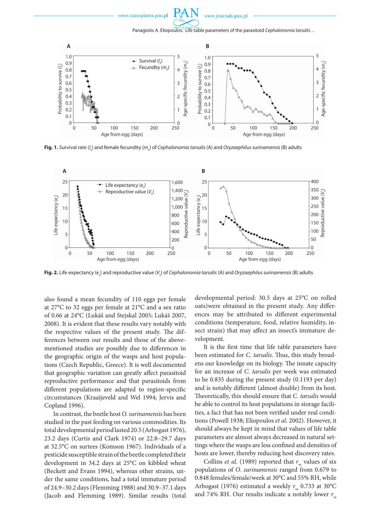

Panagiotis A. Eliopoulos: Life table parameters of the parasitoid *Cephalonomia tarsalis*… 5



**Fig. 1.** Survival rate (I<sub>x</sub>) and female fecundity (m<sub>x</sub>) of *Cephalonomia tarsalis* (A) and *Oryzaephilus surinamensis* (B) adults



**Fig. 2.** Life expectancy (e<sub>x</sub>) and reproductive value (V<sub>x</sub>) of *Cephalonomia tarsalis* (A) and *Oryzaephilus surinamensis* (B) adults

also found a mean fecundity of 110 eggs per female at 27°C to 32 eggs per female at 21°C and a sex ratio of 0.66 at 24°C (Lukáš and Stejskal 2005; Lukáš 2007, 2008). It is evident that these results vary notably with the respective values of the present study. The differences between our results and those of the abovementioned studies are possibly due to differences in the geographic origin of the wasps and host populations (Czech Republic, Greece). It is well documented that geographic variation can greatly affect parasitoid reproductive performance and that parasitoids from different populations are adapted to region-specific circumstances (Kraaijeveld and Wel 1994; Jervis and Copland 1996).

In contrast, the beetle host *O. surinamensis* has been studied in the past feeding on various commodities. Its total developmental period lasted 20.5 (Arbogast 1976), 23.2 days (Curtis and Clark 1974) or 22.8−29.7 days at 32.5°C on surtees (Komson 1967). Individuals of a pesticide susceptible strain of the beetle completed their development in 34.2 days at 25°C on kibbled wheat (Beckett and Evans 1994), whereas other strains, under the same conditions, had a total immature period of 24.9–30.2 days (Flemming 1988) and 30.9–37.1 days (Jacob and Flemming 1989). Similar results (total developmental period: 30.5 days at 25°C on rolled oats)were obtained in the present study. Any differences may be attributed to different experimental conditions (temperature, food, relative humidity, insect strain) that may affect an insect's immature development.

It is the first time that life table parameters have been estimated for *C. tarsalis*. Thus, this study broadens our knowledge on its biology. The innate capacity for an increase of *C. tarsalis* per week was estimated to be 0.835 during the present study (0.1193 per day) and is notably different (almost double) from its host. Theoretically, this should ensure that *C. tarsalis* would be able to control its host populations in storage facilities, a fact that has not been verified under real conditions (Powell 1938; Eliopoulos *et al*. 2002). However, it should always be kept in mind that values of life table parameters are almost always decreased in natural settings where the wasps are less confined and densities of hosts are lower, thereby reducing host discovery rates.

Collins *et al.* (1989) reported that  $r_m$  values of six populations of *O. surinamensis* ranged from 0.679 to 0.848 females/female/week at 30°C and 55% RH, while Arbogast (1976) estimated a weekly  $r_m$  0.733 at 30°C and 74% RH. Our results indicate a notably lower  $r_m$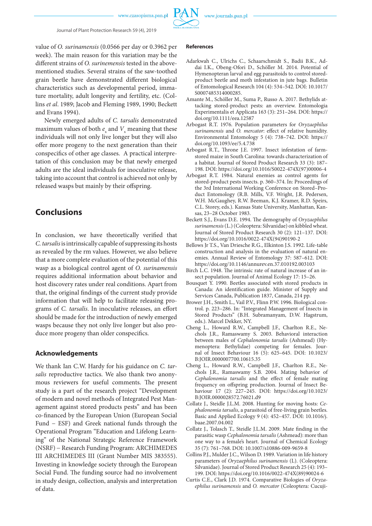

value of *O. surinamensis* (0.0566 per day or 0.3962 per week). The main reason for this variation may be the different strains of *O. surinemensis* tested in the abovementioned studies. Several strains of the saw-toothed grain beetle have demonstrated different biological characteristics such as developmental period, immature mortality, adult longevity and fertility, etc. (Collins *et al*. 1989; Jacob and Fleming 1989, 1990; Beckett and Evans 1994).

Newly emerged adults of *C. tarsalis* demonstrated maximum values of both  $e_x$  and  $V_x$  meaning that these individuals will not only live longer but they will also offer more progeny to the next generation than their conspecifics of other age classes. A practical interpretation of this conclusion may be that newly emerged adults are the ideal individuals for inoculative release, taking into account that control is achieved not only by released wasps but mainly by their offspring.

# **Conclusions**

In conclusion, we have theoretically verified that *C. tarsalis* is intrinsically capable of suppressing its hosts as revealed by the rm values. However, we also believe that a more complete evaluation of the potential of this wasp as a biological control agent of *O. surinamensis*  requires additional information about behavior and host discovery rates under real conditions. Apart from that, the original findings of the current study provide information that will help to facilitate releasing programs of *C. tarsalis*. In inoculative releases, an effort should be made for the introduction of newly emerged wasps because they not only live longer but also produce more progeny than older conspecifics.

### **Acknowledgements**

We thank Ian C.W. Hardy for his guidance on *C. tarsalis* reproductive tactics. We also thank two anonymous reviewers for useful comments. The present study is a part of the research project "Development of modern and novel methods of Integrated Pest Management against stored products pests" and has been co-financed by the European Union (European Social Fund − ESF) and Greek national funds through the Operational Program "Education and Lifelong Learning" of the National Strategic Reference Framework (NSRF) − Research Funding Program: ARCHIMEDES III ARCHIMEDES III (Grant Number MIS 383555). Investing in knowledge society through the European Social Fund. The funding source had no involvement in study design, collection, analysis and interpretation of data.

#### **References**

- Adarkwah C., Ulrichs C., Schaarschmidt S., Badii B.K., Addai I.K., Obeng-Ofori D., Schöller M. 2014. Potential of Hymenopteran larval and egg parasitoids to control storedproduct beetle and moth infestation in jute bags. Bulletin of Entomological Research 104 (4): 534–542. DOI: 10.1017/ S0007485314000285.
- Amante M., Schöller M., Suma P., Russo A. 2017. Bethylids attacking stored-product pests: an overview. Entomologia Experimentalis et Applicata 163 (3): 251–264. DOI: https:// doi.org/10.1111/eea.12587
- Arbogast R.T. 1976. Population parameters for *Oryzaephilus surinamensis* and *O. mercator*: effect of relative humidity. Environmental Entomology 5 (4): 738–742. DOI: https:// doi.org/10.1093/ee/5.4.738
- Arbogast R.T., Throne J.E. 1997. Insect infestation of farmstored maize in South Carolina: towards characterization of a habitat. Journal of Stored Product Research 33 (3): 187– 198. DOI: https://doi.org/10.1016/S0022-474X(97)00006-4
- Arbogast R.T. 1984. Natural enemies as control agents for stored-product pests insects. p. 360–374. In: Proceedings of the 3rd International Working Conference on Stored–Product Entomology (R.B. Mills, V.F. Wright, J.R. Pedersen, W.H. McGaughey, R.W. Beeman, K.J. Kramer, R.D. Speirs, C.L. Storey, eds.). Kansas State University, Manhattan, Kansas, 23–28 October 1983.
- Beckett S.J., Evans D.E. 1994. The demography of *Oryzaephilus surinamensis* (L.) (Coleoptera: Silvanidae) on kibbled wheat. Journal of Stored Product Research 30 (2): 121–137. DOI: https://doi.org/10.1016/0022-474X(94)90190-2
- Bellows Jr T.S., Van Driesche R.G., Elkinton J.S. 1992. Life-table construction and analysis in the evaluation of natural enemies. Annual Review of Entomology 37: 587–612. DOI: https://doi.org/10.1146/annurev.en.37.010192.003103
- Birch L.C. 1948. The intrinsic rate of natural increase of an insect population. Journal of Animal Ecology 17: 15–26.
- Bousquet Y. 1990. Beetles associated with stored products in Canada: An identification guide. Minister of Supply and Services Canada, Publication 1837, Canada, 214 pp.
- Brower J.H., Smith L., Vail P.V., Flinn P.W. 1996. Biological control. p. 223–286. In: "Integrated Management of Insects in Stored Products" (B.H. Subramanyam, D.W. Hagstrum, eds.). Marcel Dekker, NY.
- Cheng L., Howard R.W., Campbell J.F., Charlton R.E., Nechols J.R., Ramaswamy S. 2003. Behavioral interaction between males of *Cephalonomia tarsalis* (Ashmead) (Hymenoptera: Bethylidae) competing for females. Journal of Insect Behaviour 16 (5): 625–645. DOI: 10.1023/ B:JOIR.0000007700.10615.35
- Cheng L., Howard R.W., Campbell J.F., Charlton R.E., Nechols J.R., Ramaswamy S.B. 2004. Mating behavior of *Cephalonomia tarsalis* and the effect of female mating frequency on offspring production. Journal of Insect Behaviour 17 (2): 227–245. DOI: https://doi.org/10.1023/ B:JOIR.0000028572.76021.d9
- Collatz J., Steidle J.L.M. 2008. Hunting for moving hosts: *Cephalonomia tarsalis*, a parasitoid of free-living grain beetles. Basic and Applied Ecology 9 (4): 452–457. DOI: 10.1016/j. baae.2007.04.002
- Collatz J., Tolasch T., Steidle J.L.M. 2009. Mate finding in the parasitic wasp *Cephalonomia tarsalis* (Ashmead): more than one way to a female's heart. Journal of Chemical Ecology 35 (7): 761–768. DOI: 10.1007/s10886-009-9659-8
- Collins P.J., Mulder J.C., Wilson D. 1989. Variation in life history parameters of *Oryzaephilus surinamensis* (L). (Coleoptera: Silvanidae). Journal of Stored Product Research 25 (4): 193– 199. DOI: https://doi.org/10.1016/0022-474X(89)90024-6
- Curtis C.E., Clark J.D. 1974. Comparative Biologies of *Oryzaephilus surinamensis* and *O. mercator* (Coleoptera: Cucuji-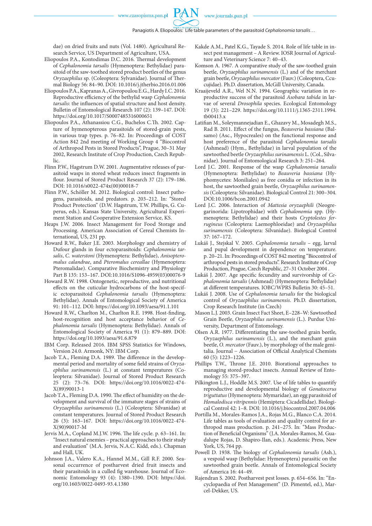dae) on dried fruits and nuts (Vol. 1480). Agricultural Research Service, US Department of Agriculture, USA.

- Eliopoulos P.A., Kontodimas D.C. 2016. Thermal development of *Cephalonomia tarsalis* (Hymenoptera: Bethylidae) parasitoid of the saw-toothed stored product beetles of the genus *Oryzaephilus* sp. (Coleoptera: Sylvanidae). Journal of Thermal Biology 56: 84–90. DOI: 10.1016/j.jtherbio.2016.01.006
- Eliopoulos P.A., Kapranas A., Givropoulou E.G., Hardy I.C. 2016. Reproductive efficiency of the bethylid wasp *Cephalonomia tarsalis*: the influences of spatial structure and host density. Bulletin of Entomological Research 107 (2): 139–147. DOI: https://doi.org/10.1017/S0007485316000651
- Eliopoulos P.A., Athanassiou C.G., Buchelos C.Th. 2002. Capture of hymenopterous parasitoids of stored-grain pests, in various trap types. p. 76–82. In: Proceedings of COST Action 842 2nd meeting of Working Group 4 "Biocontrol of Arthropod Pests in Stored Products", Prague, 30–31 May 2002, Research Institute of Crop Production, Czech Republic.
- Flinn P.W., Hagstrum D.W. 2001. Augmentative releases of parasitoid wasps in stored wheat reduces insect fragments in flour. Journal of Stored Product Research 37 (2): 179–186. DOI: 10.1016/s0022-474x(00)00018-7
- Flinn P.W., Schöller M. 2012. Biological control: Insect pathogens, parasitoids, and predators. p. 203–212. In: "Stored Product Protection" (D.W. Hagstrum, T.W. Phillips, G. Cuperus, eds.). Kansas State University, Agricultural Experiment Station and Cooperative Extension Service, KS.
- Heaps J.W. 2006. Insect Management for Food Storage and Processing. American Association of Cereal Chemists International, US, 231 pp.
- Howard R.W., Baker J.E. 2003. Morphology and chemistry of Dufour glands in four ectoparasitoids: *Cephalonomia tarsalis*, *C. waterstoni* (Hymenoptera: Bethylidae), *Anisopteromalus calandrae*, and *Pteromalus cereallae* (Hymenoptera: Pteromalidae). Comparative Biochemistry and Physiology Part B 135: 153–167. DOI:10.1016/S1096-4959(03)00076-9
- Howard R.W. 1998. Ontogenetic, reproductive, and nutritional effects on the cuticular hydrocarbons of the host-specific ectoparasitoid *Cephalonomia tarsalis* (Hymenoptera: Bethylidae). Annals of Entomological Society of America 91: 101–112. DOI: https://doi.org/10.1093/aesa/91.1.101
- Howard R.W., Charlton M., Charlton R.E. 1998. Host-finding, host-recognition and host acceptance behavior of *Cephalonomia tarsalis* (Hymenoptera: Bethylidae). Annals of Entomological Society of America 91 (1): 879–889. DOI: https://doi.org/10.1093/aesa/91.6.879
- IBM Corp. Released 2016. IBM SPSS Statistics for Windows, Version 24.0. Armonk, NY: IBM Corp.
- Jacob T.A., Fleming D.A. 1989. The difference in the developmental period and mortality of some field strains of *Oryzaephilus surinamensis* (L.) at constant temperatures (Coleoptera: Silvanidae). Journal of Stored Product Research 25 (2): 73–76. DOI: https://doi.org/10.1016/0022-474- X(89)90013-1
- Jacob T.A., Fleming D.A. 1990. The effect of humidity on the development and survival of the immature stages of strains of *Oryzaephilus surinamensis* (L.) (Coleoptera: Silvanidae) at constant temperatures. Journal of Stored Product Research 26 (3): 163–167. DOI: https://doi.org/10.1016/0022-474- X(90)90017-M
- Jervis M.A., Copland M.J.W. 1996. The life cycle. p. 63–161. In: "Insect natural enemies – practical approaches to their study and evaluation" (M.A. Jervis, N.A.C. Kidd, eds.). Chapman and Hall, UK.
- Johnson J.A., Valero K.A., Hannel M.M., Gill R.F. 2000. Seasonal occurrence of postharvest dried fruit insects and their parasitoids in a culled fig warehouse. Journal of Economic Entomology 93 (4): 1380–1390. DOI: https://doi. org/10.1603/0022-0493-93.4.1380
- Kakde A.M., Patel K.G., Tayade S. 2014. Role of life table in insect pest management – A Review. IOSR Journal of Agriculture and Veterinary Science 7: 40–43.
- Komson A. 1967. A comparative study of the saw-toothed grain beetle, *Oryzaephilus surinamensis* (L.) and of the merchant grain beetle, *Oryzaephilus mercator* (Fauv.) (Coleoptera, Ccucujidae). Ph.D. dissertation, McGill University, Canada.
- Kraaijeveld A.R., Wel N.N. 1994. Geographic variation in reproductive success of the parasitoid *Asobara tabida* in larvae of several *Drosophila* species. Ecological Entomology 19 (3): 221–229. https://doi.org/10.1111/j.1365-2311.1994. tb00413.x
- Latifian M., Soleymannejadian E., Ghazavy M., Mosadegh M.S., Rad B. 2011. Effect of the fungus, *Beauveria bassiana* (Balsamo) (Asc., Hypocreales) on the functional response and host preference of the parasitoid *Cephalonomia tarsalis* (Ashmead) (Hym., Bethylidae) in larval population of the sawtoothed beetle *Oryzaephilus surinamensis* L. (Col., Silvanidae). Journal of Entomological Research 3: 251–264.
- Lord J.C. 2001. Response of the wasp *Cephalonomia tarsalis* (Hymenoptera: Bethylidae) to *Beauveria bassiana* (Hyphomycetes: Moniliales) as free conidia or infection in its host, the sawtoothed grain beetle, *Oryzaephilus surinamensis* (Coleoptera: Silvanidae). Biological Control 21: 300–304. DOI:10.1006/bcon.2001.0942
- Lord J.C. 2006. Interaction of *Mattesia oryzaephili* (Neogregarinorida: Lipotrophidae) with *Cephalonomia* spp. (Hymenoptera: Bethylidae) and their hosts *Cryptolestes ferrugineus* (Coleoptera: Laemophloeidae) and *Oryzaephilus surinamensis* (Coleoptera: Silvanidae). Biological Control 37: 167–172.
- Lukáš J., Stejskal V. 2005. *Cephalonomia tarsalis* egg, larval and pupal development in dependence on temperature. p. 20–21. In: Proceedings of COST 842 meeting "Biocontrol of arthropod pests in stored products". Research Institute of Crop Production, Prague, Czech Republic, 27–31 October 2004 .
- Lukáš J. 2007. Age specific fecundity and survivorship of *Cephalonomia tarsalis* (Ashmead) (Hymenoptera: Bethylidae) at different temperatures. IOBC/WPRS Bulletin 30: 45–51.
- Lukáš J. 2008. Use of *Cephalonomia tarsalis* for the biological control of *Oryzaephilus surinamensis*. Ph.D. dissertation, Crop Research Institute (in Czech)
- Mason L.J. 2003. Grain Insect Fact Sheet, E–228–W: Sawtoothed Grain Beetle, *Oryzaephilus surinamensis* (L.). Purdue University, Department of Entomology.
- Olsen A.R. 1977. Differentiating the saw-toothed grain beetle, *Oryzaephilus surinamensis* (L.), and the merchant grain beetle, *O. mercator* (Fauv.), by morphology of the male genitalia. Journal − Association of Official Analytical Chemists 60 (5): 1223–1226.
- Phillips T.W., Throne J.E. 2010. Biorational approaches to managing stored-product insects. Annual Review of Entomology 55: 375–397.
- Pilkington L.J., Hoddle M.S. 2007. Use of life tables to quantify reproductive and developmental biology of *Gonatocerus triguttatus* (Hymenoptera: Mymaridae), an egg parasitoid of *Homalodisca vitripennis* (Hemiptera: Cicadellidae). Biological Control 42: 1–8. DOI: 10.1016/j.biocontrol.2007.04.006
- Portilla M., Morales-Ramos J.A., Rojas M.G., Blanco C.A. 2014. Life tables as tools of evaluation and quality control for arthropod mass production. p. 241–275. In: "Mass Production of Beneficial Organisms" (J.A. Morales-Ramos, M. Guadalupe Rojas, D. Shapiro-Ilan, eds.). Academic Press, New York, US, 764 pp.
- Powell D. 1938. The biology of *Cephalonomia tarsalis* (Ash.), a vespoid wasp (Bethylidae: Hymenoptera) parasitic on the sawtoothed grain beetle. Annals of Entomological Society of America 16: 44–49.
- Rajendran S. 2002. Postharvest pest losses. p. 654–656. In: "Encyclopaedia of Pest Management" (D. Pimentel, ed.), Marcel-Dekker, US.